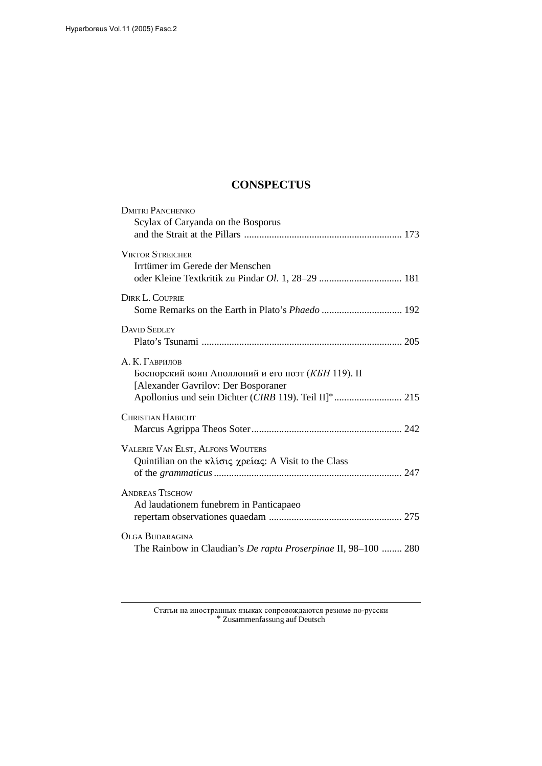## **CONSPECTUS**

| <b>DMITRI PANCHENKO</b>                                        |
|----------------------------------------------------------------|
| Scylax of Caryanda on the Bosporus                             |
|                                                                |
| <b>VIKTOR STREICHER</b>                                        |
| Irrtümer im Gerede der Menschen                                |
| oder Kleine Textkritik zu Pindar Ol. 1, 28-29  181             |
| DIRK L. COUPRIE                                                |
|                                                                |
| <b>DAVID SEDLEY</b>                                            |
|                                                                |
|                                                                |
| А. К. Гаврилов                                                 |
| Боспорский воин Аполлоний и его поэт (КБН 119). II             |
| [Alexander Gavrilov: Der Bosporaner                            |
| Apollonius und sein Dichter (CIRB 119). Teil II]*  215         |
| <b>CHRISTIAN HABICHT</b>                                       |
|                                                                |
| <b>VALERIE VAN ELST, ALFONS WOUTERS</b>                        |
| Quintilian on the κλίσις χρείας: A Visit to the Class          |
|                                                                |
|                                                                |
| <b>ANDREAS TISCHOW</b>                                         |
| Ad laudationem funebrem in Panticapaeo                         |
|                                                                |
| <b>OLGA BUDARAGINA</b>                                         |
| The Rainbow in Claudian's De raptu Proserpinae II, 98-100  280 |
|                                                                |

Статьи на иностранных языках сопровождаются резюме по-русски  $\,^*$  Zusammenfassung auf Deutsch